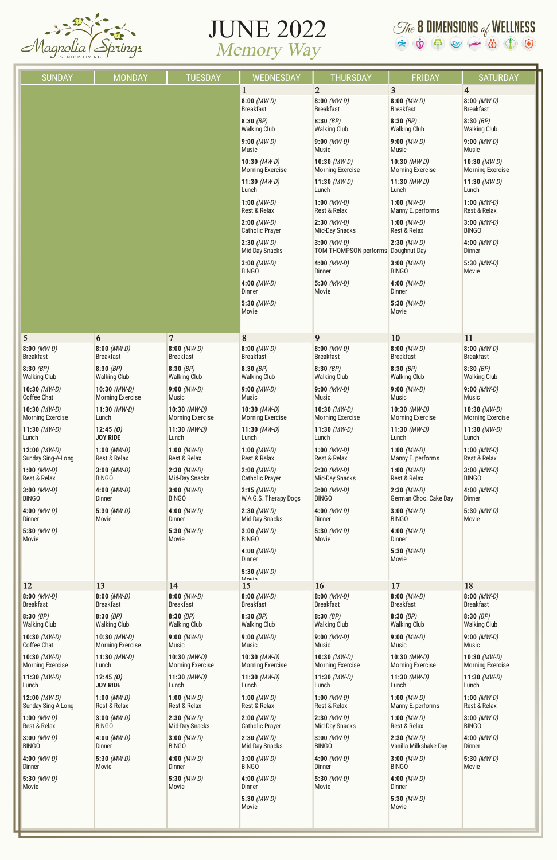

## JUNE 2022 Memory Way

## $\mathcal{I}$  & DIMENSIONS of WELLNESS  $\hat{\star} \ \ \hat{\mathbf{v}} \ \ \Phi \ \ \mathbf{e} \ \ \stackrel{\circ}{\mathbf{w}} \ \ \stackrel{\circ}{\mathbf{w}} \ \ \stackrel{\circ}{\mathbf{0}} \ \ \stackrel{\circ}{\mathbf{0}} \ \ \stackrel{\circ}{\mathbf{0}}$

| <b>SUNDAY</b>                             | <b>MONDAY</b>                             | <b>TUESDAY</b>                            | WEDNESDAY                                 | <b>THURSDAY</b>                                     | <b>FRIDAY</b>                             | <b>SATURDAY</b>                           |
|-------------------------------------------|-------------------------------------------|-------------------------------------------|-------------------------------------------|-----------------------------------------------------|-------------------------------------------|-------------------------------------------|
|                                           |                                           |                                           | $\mathbf{1}$                              | $\overline{2}$                                      | 3                                         | $\overline{\mathbf{4}}$                   |
|                                           |                                           |                                           | $8:00$ (MW-D)<br><b>Breakfast</b>         | $8:00$ (MW-D)<br><b>Breakfast</b>                   | $8:00$ (MW-D)<br><b>Breakfast</b>         | $8:00$ (MW-D)<br><b>Breakfast</b>         |
|                                           |                                           |                                           | 8:30(BP)<br><b>Walking Club</b>           | 8:30(BP)<br><b>Walking Club</b>                     | 8:30(BP)<br><b>Walking Club</b>           | 8:30(BP)<br><b>Walking Club</b>           |
|                                           |                                           |                                           | $9:00$ (MW-D)<br>Music                    | $9:00$ (MW-D)<br><b>Music</b>                       | $9:00$ (MW-D)<br>Music                    | $9:00$ (MW-D)<br>Music                    |
|                                           |                                           |                                           | 10:30 $(MW-D)$<br><b>Morning Exercise</b> | 10:30 $(MW-D)$<br><b>Morning Exercise</b>           | 10:30 $(MW-D)$<br><b>Morning Exercise</b> | 10:30 $(MW-D)$<br><b>Morning Exercise</b> |
|                                           |                                           |                                           | 11:30 $(MW-D)$<br>Lunch                   | 11:30 $(MW-D)$<br>Lunch                             | 11:30 $(MW-D)$<br>Lunch                   | 11:30 $(MW-D)$<br>Lunch                   |
|                                           |                                           |                                           | 1:00 $(MW-D)$<br>Rest & Relax             | 1:00 $(MW-D)$<br>Rest & Relax                       | 1:00 $(MW-D)$<br>Manny E. performs        | 1:00 $(MW-D)$<br>Rest & Relax             |
|                                           |                                           |                                           | $2:00$ (MW-D)<br><b>Catholic Prayer</b>   | $2:30$ (MW-D)<br><b>Mid-Day Snacks</b>              | 1:00 $(MW-D)$<br>Rest & Relax             | $3:00$ (MW-D)<br><b>BINGO</b>             |
|                                           |                                           |                                           | $2:30$ (MW-D)<br><b>Mid-Day Snacks</b>    | $3:00$ (MW-D)<br>TOM THOMPSON performs Doughnut Day | $2:30$ (MW-D)                             | 4:00 $(MW-D)$<br><b>Dinner</b>            |
|                                           |                                           |                                           | $3:00$ (MW-D)<br><b>BINGO</b>             | 4:00 $(MW-D)$<br><b>Dinner</b>                      | $3:00$ (MW-D)<br><b>BINGO</b>             | 5:30 $(MW-D)$<br>Movie                    |
|                                           |                                           |                                           | 4:00 $(MW-D)$<br><b>Dinner</b>            | 5:30 $(MW-D)$<br>Movie                              | 4:00 $(MW-D)$<br>Dinner                   |                                           |
|                                           |                                           |                                           | 5:30 $(MW-D)$<br>Movie                    |                                                     | 5:30 $(MW-D)$<br>Movie                    |                                           |
| 5                                         | 6                                         | $\overline{7}$                            | 8                                         | 9                                                   | 10                                        | 11                                        |
| $8:00$ (MW-D)<br><b>Breakfast</b>         | $8:00$ (MW-D)<br><b>Breakfast</b>         | $8:00$ (MW-D)<br><b>Breakfast</b>         | $8:00$ (MW-D)<br><b>Breakfast</b>         | $8:00$ (MW-D)<br><b>Breakfast</b>                   | $8:00$ (MW-D)<br><b>Breakfast</b>         | $8:00$ (MW-D)<br><b>Breakfast</b>         |
| 8:30 $(BP)$<br><b>Walking Club</b>        | 8:30(BP)<br><b>Walking Club</b>           | 8:30(BP)<br><b>Walking Club</b>           | 8:30 $(BP)$<br><b>Walking Club</b>        | 8:30(BP)<br><b>Walking Club</b>                     | 8:30(BP)<br><b>Walking Club</b>           | 8:30(BP)<br><b>Walking Club</b>           |
| 10:30 $(MW-D)$<br>Coffee Chat             | 10:30 $(MW-D)$<br><b>Morning Exercise</b> | $9:00$ (MW-D)<br>Music                    | $9:00$ (MW-D)<br>Music                    | $9:00$ (MW-D)<br><b>Music</b>                       | $9:00$ (MW-D)<br><b>Music</b>             | $9:00$ (MW-D)<br>Music                    |
| 10:30 $(MW-D)$<br><b>Morning Exercise</b> | 11:30 $(MW-D)$<br>Lunch                   | 10:30 $(MW-D)$<br><b>Morning Exercise</b> | 10:30 $(MW-D)$<br><b>Morning Exercise</b> | 10:30 $(MW-D)$<br><b>Morning Exercise</b>           | 10:30 $(MW-D)$<br><b>Morning Exercise</b> | 10:30 $(MW-D)$<br><b>Morning Exercise</b> |
| 11:30 $(MW-D)$<br>Lunch                   | 12:45(0)<br><b>JOY RIDE</b>               | 11:30 $(MW-D)$<br>Lunch                   | 11:30 $(MW-D)$<br>Lunch                   | 11:30 $(MW-D)$<br>Lunch                             | 11:30 $(MW-D)$<br>Lunch                   | 11:30 $(MW-D)$<br>Lunch                   |
| 12:00 $(MW-D)$<br>Sunday Sing-A-Long      | 1:00 $(MW-D)$<br>Rest & Relax             | 1:00 $(MW-D)$<br>Rest & Relax             | 1:00 $(MW-D)$<br>Rest & Relax             | 1:00 $(MW-D)$<br>Rest & Relax                       | 1:00 $(MW-D)$<br>Manny E. performs        | 1:00 $(MW-D)$<br>Rest & Relax             |
| 1:00 $(MW-D)$<br>Rest & Relax             | $3:00$ (MW-D)<br><b>BINGO</b>             | $2:30$ (MW-D)<br>Mid-Day Snacks           | $2:00$ (MW-D)<br><b>Catholic Prayer</b>   | $2:30$ (MW-D)<br><b>Mid-Day Snacks</b>              | 1:00 $(MW-D)$<br>Rest & Relax             | $3:00$ (MW-D)<br><b>BINGO</b>             |
| $3:00$ (MW-D)<br><b>BINGO</b>             | 4:00 $(MW-D)$<br>Dinner                   | $3:00$ (MW-D)<br><b>BINGO</b>             | $2:15$ (MW-D)<br>W.A.G.S. Therapy Dogs    | $3:00$ (MW-D)<br><b>BINGO</b>                       | $2:30$ (MW-D)<br>German Choc. Cake Day    | 4:00 $(MW-D)$<br>Dinner                   |
| 4:00 $(MW-D)$<br>Dinner                   | 5:30 $(MW-D)$<br>Movie                    | 4:00 $(MW-D)$<br>Dinner                   | $2:30$ (MW-D)<br>Mid-Day Snacks           | 4:00 $(MW-D)$<br>Dinner                             | $3:00$ (MW-D)<br><b>BINGO</b>             | 5:30 $(MW-D)$<br>Movie                    |
| 5:30 $(MW-D)$<br>Movie                    |                                           | 5:30 $(MW-D)$<br>Movie                    | $3:00$ (MW-D)<br><b>BINGO</b>             | 5:30 $(MW-D)$<br>Movie                              | 4:00 $(MW-D)$<br>Dinner                   |                                           |
|                                           |                                           |                                           | 4:00 $(MW-D)$<br>Dinner                   |                                                     | 5:30 $(MW-D)$<br>Movie                    |                                           |
|                                           |                                           |                                           | 5:30 $(MW-D)$<br>Movie                    |                                                     |                                           |                                           |
| 12                                        | 13                                        | 14                                        | 15                                        | 16                                                  | 17                                        | 18                                        |
| $8:00$ (MW-D)<br><b>Breakfast</b>         | $8:00$ (MW-D)<br><b>Breakfast</b>         | $8:00$ (MW-D)<br><b>Breakfast</b>         | $8:00$ (MW-D)<br><b>Breakfast</b>         | $8:00$ (MW-D)<br><b>Breakfast</b>                   | $8:00$ (MW-D)<br><b>Breakfast</b>         | $8:00$ (MW-D)<br><b>Breakfast</b>         |
| 8:30 $(BP)$<br><b>Walking Club</b>        | 8:30(BP)<br><b>Walking Club</b>           | 8:30 $(BP)$<br><b>Walking Club</b>        | 8:30(BP)<br><b>Walking Club</b>           | 8:30(BP)<br><b>Walking Club</b>                     | 8:30 $(BP)$<br><b>Walking Club</b>        | 8:30(BP)<br><b>Walking Club</b>           |

**10:30** (MW-D) Coffee Chat **10:30** (MW-D) Morning Exercise

**11:30** (MW-D) Lunch

**12:00** (MW-D) Sunday Sing-A-Long

**1:00** (MW-D) Rest & Relax

**3:00** (MW-D) BINGO

**4:00** (MW-D) Dinner

**5:30** (MW-D) Movie

**10:30** (MW-D) Morning Exercise **11:30** (MW-D) Lunch **12:45 (O) JOY RIDE 1:00** (MW-D) Rest & Relax **3:00** (MW-D) BINGO **4:00** (MW-D) Dinner **5:30** (MW-D) Movie

**9:00** (MW-D) Music **10:30** (MW-D) Morning Exercise **11:30** (MW-D) Lunch **1:00** (MW-D) Rest & Relax **2:30** (MW-D) Mid-Day Snacks **3:00** (MW-D) BINGO **4:00** (MW-D) Dinner **5:30** (MW-D) Movie

Music

Lunch

**9:00** (MW-D) **10:30** (MW-D) Morning Exercise **11:30** (MW-D) **1:00** (MW-D) Rest & Relax **2:00** (MW-D) Catholic Prayer **2:30** (MW-D) Mid-Day Snacks **3:00** (MW-D) **4:00** (MW-D) **5:30** (MW-D)

BINGO

Dinner

Movie

**9:00** (MW-D) Music **10:30** (MW-D) Morning Exercise **11:30** (MW-D) Lunch **1:00** (MW-D) Rest & Relax **2:30** (MW-D) Mid-Day Snacks **3:00** (MW-D) BINGO **4:00** (MW-D) Dinner **5:30** (MW-D) Movie

**9:00** (MW-D) Music **10:30** (MW-D) Morning Exercise **11:30** (MW-D) Lunch **1:00** (MW-D) Manny E. performs **1:00** (MW-D) Rest & Relax **2:30** (MW-D) Vanilla Milkshake Day **3:00** (MW-D) BINGO **4:00** (MW-D) **Dinner 5:30** (MW-D) Movie

**9:00** (MW-D) Music

**10:30** (MW-D) Morning Exercise

**11:30** (MW-D) Lunch

**1:00** (MW-D) Rest & Relax

**3:00** (MW-D) BINGO

**4:00** (MW-D) Dinner

**5:30** (MW-D) Movie